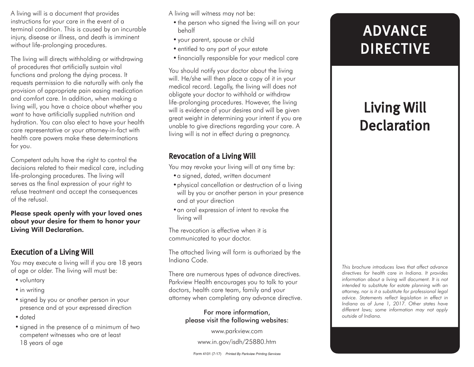A living will is a document that provides instructions for your care in the event of a terminal condition. This is caused by an incurable injury, disease or illness, and death is imminent without life-prolonging procedures.

The living will directs withholding or withdrawing of procedures that artificially sustain vital functions and prolong the dying process. It requests permission to die naturally with only the provision of appropriate pain easing medication and comfort care. In addition, when making a living will, you have a choice about whether you want to have artificially supplied nutrition and hydration. You can also elect to have your health care representative or your attorney-in-fact with health care powers make these determinations for you.

Competent adults have the right to control the decisions related to their medical care, including life-prolonging procedures. The living will serves as the final expression of your right to refuse treatment and accept the consequences of the refusal.

Please speak openly with your loved ones about your desire for them to honor your Living Will Declaration.

### Execution of a Living Will

You may execute a living will if you are 18 years of age or older. The living will must be:

- voluntary
- in writing
- •signed by you or another person in your presence and at your expressed direction
- •dated
- •signed in the presence of a minimum of two competent witnesses who are at least 18 years of age

A living will witness may not be:

- the person who signed the living will on your behalf
- •your parent, spouse or child
- entitled to any part of your estate
- •financially responsible for your medical care

You should notify your doctor about the living will. He/she will then place a copy of it in your medical record. Legally, the living will does not obligate your doctor to withhold or withdraw life-prolonging procedures. However, the living will is evidence of your desires and will be given great weight in determining your intent if you are unable to give directions regarding your care. A living will is not in effect during a pregnancy.

## Revocation of a Living Will

You may revoke your living will at any time by:

- a signed, dated, written document
- •physical cancellation or destruction of a living will by you or another person in your presence and at your direction
- •an oral expression of intent to revoke the living will

The revocation is effective when it is communicated to your doctor.

The attached living will form is authorized by the Indiana Code.

There are numerous types of advance directives. Parkview Health encourages you to talk to your doctors, health care team, family and your attorney when completing any advance directive.

#### For more information, please visit the following websites:

www.parkview.com

www.in.gov/isdh/25880.htm

# ADVANCE DIRECTIVE

## Living Will Declaration

*This brochure introduces laws that affect advance directives for health care in Indiana. It provides information about a living will document. It is not intended to substitute for estate planning with an attorney, nor is it a substitute for professional legal advice. Statements reflect legislation in effect in Indiana as of June 1, 2017. Other states have different laws; some information may not apply outside of Indiana.*